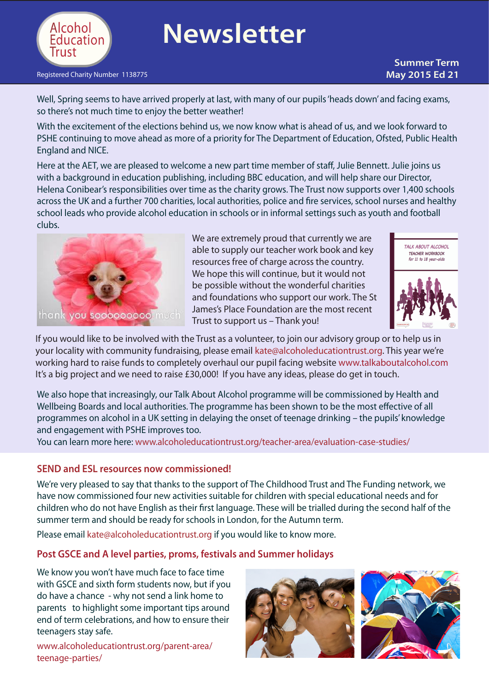

# **Newsletter**

#### [Registered](http://www.alcoholeducationtrust.org/teacher-area/) Charity Number 1138775 **May 2015 Ed 21** and the United States of the United States **May 2015 Ed 21**

## **Summer Term**

Well, Spring seems to have arrived properly at last, with many of our pupils'heads down' and facing exams, so there's not much time to enjoy the better weather!

With the excitement of the elections behind us, we now know what is ahead of us, and we look forward to PSHE continuing to move ahead as more of a priority for The Department of Education, Ofsted, Public Health England and NICE.

Here at the AET, we are pleased to welcome a new part time member of staff, Julie Bennett. Julie joins us with a background in education publishing, including BBC education, and will help share our Director, Helena Conibear's responsibilities over time as the charity grows. The Trust now supports over 1,400 schools across the UK and a further 700 charities, local authorities, police and fire services, school nurses and healthy school leads who provide alcohol education in schools or in informal settings such as youth and football clubs.



We are extremely proud that currently we are able to supply our teacher work book and key resources free of charge across the country. We hope this will continue, but it would not be possible without the wonderful charities and foundations who support our work. The St James's Place Foundation are the most recent Trust to support us – Thank you!



If you would like to be involved with the Trust as a volunteer, to join our advisory group or to help us in your locality with community fundraising, please email [kate@alcoholeducationtrust.org.](mailto:kate@alcoholeducationtrust.org) This year we're working hard to raise funds to completely overhaul our pupil facing website [www.talkaboutalcohol.com](http://www.talkaboutalcohol.com) It's a big project and we need to raise £30,000! If you have any ideas, please do get in touch.

We also hope that increasingly, our Talk About Alcohol programme will be commissioned by Health and Wellbeing Boards and local authorities. The programme has been shown to be the most effective of all programmes on alcohol in a UK setting in delaying the onset of teenage drinking – the pupils' knowledge and engagement with PSHE improves too.

You can learn more here: [www.alcoholeducationtrust.org/teacher-area/evaluation-case-studies/](http://www.alcoholeducationtrust.org/teacher-area/evaluation-case-studies/)

#### **SEND and ESL resources now commissioned!**

We're very pleased to say that thanks to the support of The Childhood Trust and The Funding network, we have now commissioned four new activities suitable for children with special educational needs and for children who do not have English as their first language. These will be trialled during the second half of the summer term and should be ready for schools in London, for the Autumn term.

Please email [kate@alcoholeducationtrust.org](mailto:kate@alcoholeducationtrust.org) if you would like to know more.

#### **Post GSCE and A level parties, proms, festivals and Summer holidays**

We know you won't have much face to face time with GSCE and sixth form students now, but if you do have a chance - why not send a link home to parents to highlight some important tips around end of term celebrations, and how to ensure their teenagers stay safe.

[www.alcoholeducationtrust.org/parent-area/](http://www.alcoholeducationtrust.org/parent-area/teenage-parties/) [teenage-parties/](http://www.alcoholeducationtrust.org/parent-area/teenage-parties/)



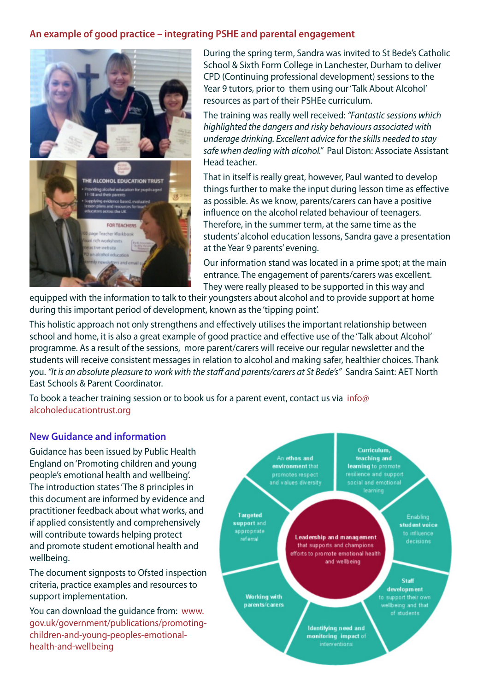### **An example of good practice – integrating PSHE and parental engagement**



During the spring term, Sandra was invited to St Bede's Catholic School & Sixth Form College in Lanchester, Durham to deliver CPD (Continuing professional development) sessions to the Year 9 tutors, prior to them using our'Talk About Alcohol' resources as part of their PSHEe curriculum.

The training was really well received: *"Fantastic sessions which highlighted the dangers and risky behaviours associated with underage drinking. Excellent advice for the skills needed to stay safe when dealing with alcohol."* Paul Diston: Associate Assistant Head teacher.

That in itself is really great, however, Paul wanted to develop things further to make the input during lesson time as effective as possible. As we know, parents/carers can have a positive influence on the alcohol related behaviour of teenagers. Therefore, in the summer term, at the same time as the students' alcohol education lessons, Sandra gave a presentation at the Year 9 parents' evening.

Our information stand was located in a prime spot; at the main entrance. The engagement of parents/carers was excellent. They were really pleased to be supported in this way and

equipped with the information to talk to their youngsters about alcohol and to provide support at home during this important period of development, known as the 'tipping point'.

This holistic approach not only strengthens and effectively utilises the important relationship between school and home, it is also a great example of good practice and effective use of the 'Talk about Alcohol' programme. As a result of the sessions, more parent/carers will receive our regular newsletter and the students will receive consistent messages in relation to alcohol and making safer, healthier choices. Thank you. *"It is an absolute pleasure to work with the staff and parents/carers at St Bede's"* Sandra Saint: AET North East Schools & Parent Coordinator.

To book a teacher training session or to book us for a parent event, contact us via [info@](mailto:info@alcoholeducationtrust.org) [alcoholeducationtrust.org](mailto:info@alcoholeducationtrust.org)

#### **New Guidance and information**

Guidance has been issued by Public Health England on'Promoting children and young people's emotional health and wellbeing'. The introduction states'The 8 principles in this document are informed by evidence and practitioner feedback about what works, and if applied consistently and comprehensively will contribute towards helping protect and promote student emotional health and wellbeing.

The document signposts to Ofsted inspection criteria, practice examples and resources to support implementation.

You can download the guidance from: [www.](https://www.gov.uk/government/publications/promoting-children-and-young-peoples-emotional-health-and-wellbeing) [gov.uk/government/publications/promoting](https://www.gov.uk/government/publications/promoting-children-and-young-peoples-emotional-health-and-wellbeing)[children-and-young-peoples-emotional](https://www.gov.uk/government/publications/promoting-children-and-young-peoples-emotional-health-and-wellbeing)[health-and-wellbeing](https://www.gov.uk/government/publications/promoting-children-and-young-peoples-emotional-health-and-wellbeing)